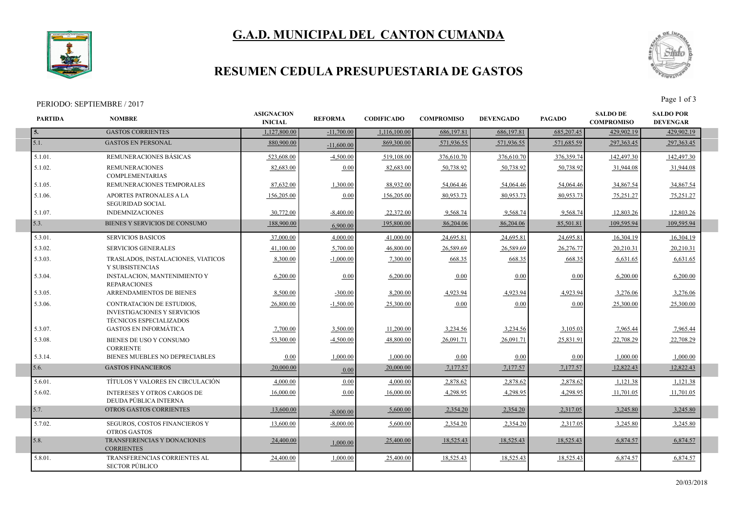# **G.A.D. MUNICIPAL DEL CANTON CUMANDA**



I

### **RESUMEN CEDULA PRESUPUESTARIA DE GASTOS**

## PERIODO: SEPTIEMBRE / 2017<br>
Page 1 of 3



| <b>PARTIDA</b> | <b>NOMBRE</b>                                                                                     | <b>ASIGNACION</b><br><b>INICIAL</b> | <b>REFORMA</b> | <b>CODIFICADO</b> | <b>COMPROMISO</b> | <b>DEVENGADO</b> | <b>PAGADO</b> | <b>SALDO DE</b><br><b>COMPROMISO</b> | <b>SALDO POR</b><br><b>DEVENGAR</b> |
|----------------|---------------------------------------------------------------------------------------------------|-------------------------------------|----------------|-------------------|-------------------|------------------|---------------|--------------------------------------|-------------------------------------|
| 5.             | <b>GASTOS CORRIENTES</b>                                                                          | 1,127,800.00                        | $-11,700.00$   | 1,116,100.00      | 686,197.81        | 686,197.81       | 685,207.45    | 429,902.19                           | 429,902.19                          |
| 5.1.           | <b>GASTOS EN PERSONAL</b>                                                                         | 880,900.00                          | $-11,600,00$   | 869,300.00        | 571,936.55        | 571,936.55       | 571,685.59    | 297, 363. 45                         | 297,363.45                          |
| 5.1.01.        | REMUNERACIONES BÁSICAS                                                                            | 523,608.00                          | $-4.500.00$    | 519,108.00        | 376,610.70        | 376,610.70       | 376,359.74    | 142,497.30                           | 142,497.30                          |
| 5.1.02.        | <b>REMUNERACIONES</b><br><b>COMPLEMENTARIAS</b>                                                   | 82,683.00                           | 0.00           | 82,683.00         | 50,738.92         | 50,738.92        | 50,738.92     | 31.944.08                            | 31,944.08                           |
| 5.1.05.        | REMUNERACIONES TEMPORALES                                                                         | 87,632.00                           | 1,300.00       | 88,932.00         | 54,064.46         | 54,064.46        | 54,064.46     | 34,867.54                            | 34,867.54                           |
| 5.1.06.        | <b>APORTES PATRONALES A LA</b><br><b>SEGURIDAD SOCIAL</b>                                         | 156,205.00                          | 0.00           | 156,205.00        | 80,953.73         | 80.953.73        | 80,953.73     | 75,251.27                            | 75,251.27                           |
| 5.1.07.        | <b>INDEMNIZACIONES</b>                                                                            | 30,772.00                           | $-8.400.00$    | 22,372.00         | 9,568.74          | 9,568.74         | 9,568.74      | 12.803.26                            | 12,803.26                           |
| 5.3.           | BIENES Y SERVICIOS DE CONSUMO                                                                     | 188,900.00                          | 6,900.00       | 195,800.00        | 86,204.06         | 86,204.06        | 85,501.81     | 109.595.94                           | 109,595.94                          |
| 5.3.01.        | <b>SERVICIOS BASICOS</b>                                                                          | 37,000.00                           | 4,000.00       | 41,000.00         | 24,695.81         | 24,695.8         | 24,695.81     | 16,304.19                            | 16,304.19                           |
| 5.3.02.        | <b>SERVICIOS GENERALES</b>                                                                        | 41,100.00                           | 5,700.00       | 46,800.00         | 26,589.69         | 26,589.69        | 26,276.77     | 20,210.31                            | 20,210.31                           |
| 5.3.03.        | TRASLADOS, INSTALACIONES, VIATICOS<br>Y SUBSISTENCIAS                                             | 8,300.00                            | $-1,000.00$    | 7,300.00          | 668.35            | 668.35           | 668.35        | 6,631.65                             | 6,631.65                            |
| 5.3.04.        | <b>INSTALACION, MANTENIMIENTO Y</b><br><b>REPARACIONES</b>                                        | 6,200.00                            | 0.00           | 6,200.00          | 0.00              | 0.00             | 0.00          | 6,200.00                             | 6,200.00                            |
| 5.3.05.        | ARRENDAMIENTOS DE BIENES                                                                          | 8,500.00                            | $-300.00$      | 8,200.00          | 4,923.94          | 4,923.94         | 4,923.94      | 3,276.06                             | 3,276.06                            |
| 5.3.06.        | CONTRATACION DE ESTUDIOS,<br><b>INVESTIGACIONES Y SERVICIOS</b><br><b>TÉCNICOS ESPECIALIZADOS</b> | 26,800.00                           | $-1,500.00$    | 25,300.00         | 0.00              | 0.00             | 0.00          | 25,300.00                            | 25,300.00                           |
| 5.3.07.        | <b>GASTOS EN INFORMÁTICA</b>                                                                      | 7,700.00                            | 3,500.00       | 11,200.00         | 3,234.56          | 3,234.56         | 3,105.03      | 7,965.44                             | 7,965.44                            |
| 5.3.08.        | BIENES DE USO Y CONSUMO<br><b>CORRIENTE</b>                                                       | 53,300.00                           | $-4,500.00$    | 48,800.00         | 26,091.71         | 26,091.71        | 25,831.91     | 22,708.29                            | 22,708.29                           |
| 5.3.14.        | BIENES MUEBLES NO DEPRECIABLES                                                                    | 0.00                                | 1,000.00       | 1,000.00          | 0.00              | 0.00             | 0.00          | 1,000.00                             | 1,000.00                            |
| 5.6.           | <b>GASTOS FINANCIEROS</b>                                                                         | 20,000.00                           | 0.00           | 20,000.00         | 7,177.57          | 7,177.57         | 7,177.57      | 12,822.43                            | 12,822.43                           |
| 5.6.01.        | TÍTULOS Y VALORES EN CIRCULACIÓN                                                                  | 4,000.00                            | 0.00           | 4,000.00          | 2,878.62          | 2,878.62         | 2,878.62      | 1,121.38                             | 1,121.38                            |
| 5.6.02.        | <b>INTERESES Y OTROS CARGOS DE</b><br>DEUDA PÚBLICA INTERNA                                       | 16,000.00                           | 0.00           | 16,000.00         | 4,298.95          | 4,298.95         | 4,298.95      | 11,701.05                            | 11,701.05                           |
| 5.7.           | OTROS GASTOS CORRIENTES                                                                           | 13,600.00                           | $-8,000,00$    | 5,600.00          | 2,354.20          | 2,354.20         | 2,317.05      | 3,245.80                             | 3,245.80                            |
| 5.7.02.        | SEGUROS, COSTOS FINANCIEROS Y<br><b>OTROS GASTOS</b>                                              | 13,600.00                           | $-8,000.00$    | 5,600.00          | 2,354.20          | 2,354.20         | 2,317.05      | 3,245.80                             | 3,245.80                            |
| 5.8.           | TRANSFERENCIAS Y DONACIONES<br><b>CORRIENTES</b>                                                  | 24,400.00                           | 1.000.00       | 25,400.00         | 18,525.43         | 18,525.43        | 18,525.43     | 6,874.57                             | 6,874.57                            |
| 5.8.01.        | <b>TRANSFERENCIAS CORRIENTES AL</b><br><b>SECTOR PÚBLICO</b>                                      | 24,400.00                           | 1,000.00       | 25,400.00         | 18,525.43         | 18,525.43        | 18,525.43     | 6,874.57                             | 6,874.57                            |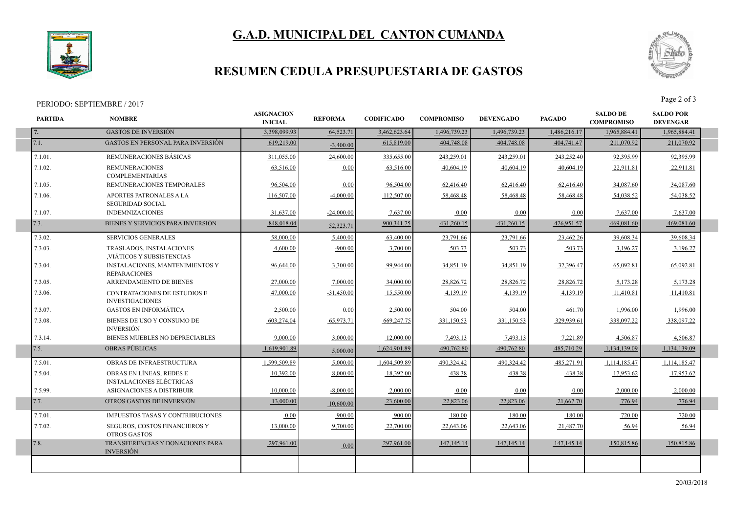# **G.A.D. MUNICIPAL DEL CANTON CUMANDA**



I

I

### **RESUMEN CEDULA PRESUPUESTARIA DE GASTOS**

#### PERIODO: SEPTIEMBRE / 2017



| 7.<br>7.1.<br>7.1.01.<br>7.1.02.<br>7.1.05.<br>7.1.06.<br>7.1.07.<br>7.3.<br>7.3.02.<br>7.3.03.<br>7.3.04.<br>7.3.05. | <b>GASTOS DE INVERSIÓN</b><br><b>GASTOS EN PERSONAL PARA INVERSIÓN</b><br>REMUNERACIONES BÁSICAS<br><b>REMUNERACIONES</b><br><b>COMPLEMENTARIAS</b><br>REMUNERACIONES TEMPORALES<br><b>APORTES PATRONALES A LA</b><br><b>SEGURIDAD SOCIAL</b><br><b>INDEMNIZACIONES</b> | 3,398,099.93<br>619,219.00<br>311,055.00<br>63,516.00<br>96,504.00<br>116,507.00 | 64,523.71<br>$-3,400.00$<br>24,600.00<br>0.00<br>0.00 | 3,462,623.64<br>615,819.00<br>335,655.00<br>63,516.00 | 1,496,739.23<br>404,748.08<br>243,259.01<br>40,604.19 | 1,496,739.23<br>404,748.08<br>243,259.01<br>40,604.19 | 1,486,216.17<br>404,741.47<br>243,252.40 | 1,965,884.41<br>211,070.92<br>92,395.99 | 1,965,884.41<br>211,070.92<br>92,395.99 |
|-----------------------------------------------------------------------------------------------------------------------|-------------------------------------------------------------------------------------------------------------------------------------------------------------------------------------------------------------------------------------------------------------------------|----------------------------------------------------------------------------------|-------------------------------------------------------|-------------------------------------------------------|-------------------------------------------------------|-------------------------------------------------------|------------------------------------------|-----------------------------------------|-----------------------------------------|
|                                                                                                                       |                                                                                                                                                                                                                                                                         |                                                                                  |                                                       |                                                       |                                                       |                                                       |                                          |                                         |                                         |
|                                                                                                                       |                                                                                                                                                                                                                                                                         |                                                                                  |                                                       |                                                       |                                                       |                                                       |                                          |                                         |                                         |
|                                                                                                                       |                                                                                                                                                                                                                                                                         |                                                                                  |                                                       |                                                       |                                                       |                                                       |                                          |                                         |                                         |
|                                                                                                                       |                                                                                                                                                                                                                                                                         |                                                                                  |                                                       |                                                       |                                                       |                                                       | 40.604.19                                | 22,911.81                               | 22,911.81                               |
|                                                                                                                       |                                                                                                                                                                                                                                                                         |                                                                                  |                                                       | 96,504.00                                             | 62,416.40                                             | 62,416.40                                             | 62,416.40                                | 34,087.60                               | 34,087.60                               |
|                                                                                                                       |                                                                                                                                                                                                                                                                         |                                                                                  | $-4,000.00$                                           | 112,507.00                                            | 58,468.48                                             | 58,468.48                                             | 58,468.48                                | 54,038.52                               | 54,038.52                               |
|                                                                                                                       |                                                                                                                                                                                                                                                                         | 31,637.00                                                                        | $-24,000.00$                                          | 7,637.00                                              | 0.00                                                  | 0.00                                                  | 0.00                                     | 7,637.00                                | 7,637.00                                |
|                                                                                                                       | BIENES Y SERVICIOS PARA INVERSIÓN                                                                                                                                                                                                                                       | 848,018.04                                                                       | 52,323.71                                             | 900, 341. 75                                          | 431,260.15                                            | 431,260.15                                            | 426,951.57                               | 469,081.60                              | 469,081.60                              |
|                                                                                                                       | <b>SERVICIOS GENERALES</b>                                                                                                                                                                                                                                              | 58,000.00                                                                        | 5.400.00                                              | 63,400.00                                             | 23,791.66                                             | 23,791.66                                             | 23,462.26                                | 39.608.34                               | 39.608.34                               |
|                                                                                                                       | TRASLADOS, INSTALACIONES<br>VIÁTICOS Y SUBSISTENCIAS                                                                                                                                                                                                                    | 4,600.00                                                                         | $-900.00$                                             | 3,700.00                                              | 503.73                                                | 503.73                                                | 503.73                                   | 3,196.27                                | 3,196.27                                |
|                                                                                                                       | INSTALACIONES, MANTENIMIENTOS Y<br><b>REPARACIONES</b>                                                                                                                                                                                                                  | 96.644.00                                                                        | 3.300.00                                              | 99,944.00                                             | 34,851.19                                             | 34,851.19                                             | 32,396.47                                | 65,092.81                               | 65,092.81                               |
|                                                                                                                       | ARRENDAMIENTO DE BIENES                                                                                                                                                                                                                                                 | 27,000.00                                                                        | 7,000.00                                              | 34,000.00                                             | 28,826.72                                             | 28,826.72                                             | 28,826.72                                | 5,173.28                                | 5,173.28                                |
| 7.3.06.                                                                                                               | <b>CONTRATACIONES DE ESTUDIOS E</b><br><b>INVESTIGACIONES</b>                                                                                                                                                                                                           | 47.000.00                                                                        | $-31.450.00$                                          | 15.550.00                                             | 4,139.19                                              | 4,139.19                                              | 4,139.19                                 | 11,410.81                               | 11,410.81                               |
| 7.3.07.                                                                                                               | <b>GASTOS EN INFORMÁTICA</b>                                                                                                                                                                                                                                            | 2,500.00                                                                         | 0.00                                                  | 2,500.00                                              | 504.00                                                | 504.00                                                | 461.70                                   | 1,996.00                                | 1,996.00                                |
| 7.3.08.                                                                                                               | BIENES DE USO Y CONSUMO DE<br><b>INVERSIÓN</b>                                                                                                                                                                                                                          | 603,274.04                                                                       | 65,973.71                                             | 669,247.75                                            | 331,150.53                                            | 331,150.53                                            | 329,939.61                               | 338,097.22                              | 338,097.22                              |
| 7.3.14.                                                                                                               | BIENES MUEBLES NO DEPRECIABLES                                                                                                                                                                                                                                          | 9,000.00                                                                         | 3,000.00                                              | 12,000.00                                             | 7,493.13                                              | 7,493.13                                              | 7,221.89                                 | 4,506.87                                | 4,506.87                                |
| 7.5.                                                                                                                  | <b>OBRAS PÚBLICAS</b>                                                                                                                                                                                                                                                   | 1,619,901.89                                                                     | 5,000.00                                              | 1,624,901.89                                          | 490,762.80                                            | 490,762.80                                            | 485,710.29                               | 1,134,139.09                            | 1,134,139.09                            |
| 7.5.01.                                                                                                               | OBRAS DE INFRAESTRUCTURA                                                                                                                                                                                                                                                | 1.599.509.89                                                                     | 5.000.00                                              | 1.604.509.89                                          | 490.324.42                                            | 490.324.42                                            | 485.271.91                               | 1.114.185.47                            | 1,114,185.47                            |
| 7.5.04.                                                                                                               | OBRAS EN LÍNEAS. REDES E<br><b>INSTALACIONES ELÉCTRICAS</b>                                                                                                                                                                                                             | 10.392.00                                                                        | 8,000.00                                              | 18,392.00                                             | 438.38                                                | 438.38                                                | 438.38                                   | 17,953.62                               | 17,953.62                               |
| 7.5.99.                                                                                                               | ASIGNACIONES A DISTRIBUIR                                                                                                                                                                                                                                               | 10.000.00                                                                        | $-8,000.00$                                           | 2,000.00                                              | 0.00                                                  | 0.00                                                  | 0.00                                     | 2,000.00                                | 2,000.00                                |
| 7.7.                                                                                                                  | OTROS GASTOS DE INVERSIÓN                                                                                                                                                                                                                                               | 13,000.00                                                                        | 10.600.00                                             | 23,600.00                                             | 22,823.06                                             | 22,823.06                                             | 21,667.70                                | 776.94                                  | 776.94                                  |
| 7.7.01.                                                                                                               | <b>IMPUESTOS TASAS Y CONTRIBUCIONES</b>                                                                                                                                                                                                                                 | 0.00                                                                             | 900.00                                                | 900.00                                                | 180.00                                                | 180.00                                                | 180.00                                   | 720.00                                  | 720.00                                  |
| 7.7.02.                                                                                                               | SEGUROS, COSTOS FINANCIEROS Y<br><b>OTROS GASTOS</b>                                                                                                                                                                                                                    | 13,000.00                                                                        | 9,700.00                                              | 22,700.00                                             | 22,643.06                                             | 22,643.06                                             | 21,487.70                                | 56.94                                   | 56.94                                   |
| 7.8.                                                                                                                  |                                                                                                                                                                                                                                                                         |                                                                                  |                                                       |                                                       |                                                       |                                                       |                                          |                                         |                                         |